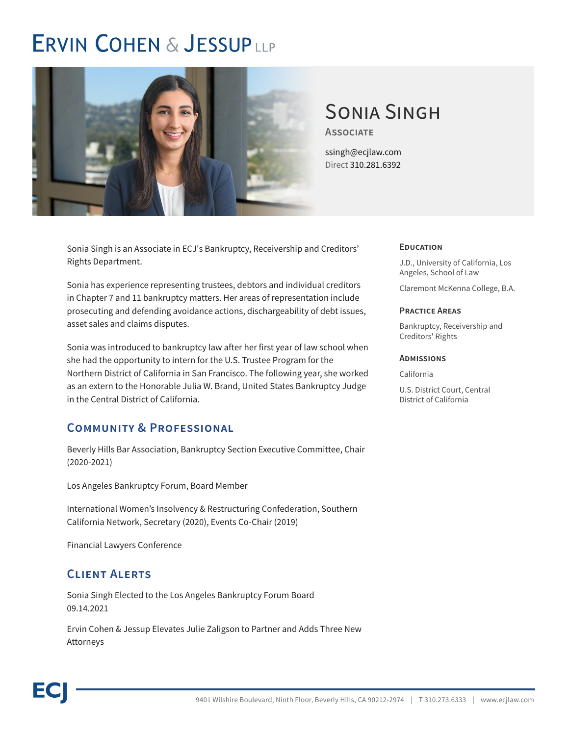# **ERVIN COHEN & JESSUPLLP**



# Sonia Singh

**Associate**

ssingh@ecjlaw.com Direct 310.281.6392

Sonia Singh is an Associate in ECJ's Bankruptcy, Receivership and Creditors' Rights Department.

Sonia has experience representing trustees, debtors and individual creditors in Chapter 7 and 11 bankruptcy matters. Her areas of representation include prosecuting and defending avoidance actions, dischargeability of debt issues, asset sales and claims disputes.

Sonia was introduced to bankruptcy law after her first year of law school when she had the opportunity to intern for the U.S. Trustee Program for the Northern District of California in San Francisco. The following year, she worked as an extern to the Honorable Julia W. Brand, United States Bankruptcy Judge in the Central District of California.

## **Community & Professional**

Beverly Hills Bar Association, Bankruptcy Section Executive Committee, Chair (2020-2021)

Los Angeles Bankruptcy Forum, Board Member

International Women's Insolvency & Restructuring Confederation, Southern California Network, Secretary (2020), Events Co-Chair (2019)

Financial Lawyers Conference

## **Client Alerts**

Sonia Singh Elected to the Los Angeles Bankruptcy Forum Board 09.14.2021

Ervin Cohen & Jessup Elevates Julie Zaligson to Partner and Adds Three New Attorneys

### **Education**

J.D., University of California, Los Angeles, School of Law

Claremont McKenna College, B.A.

#### **Practice Areas**

Bankruptcy, Receivership and Creditors' Rights

#### **Admissions**

California

U.S. District Court, Central District of California